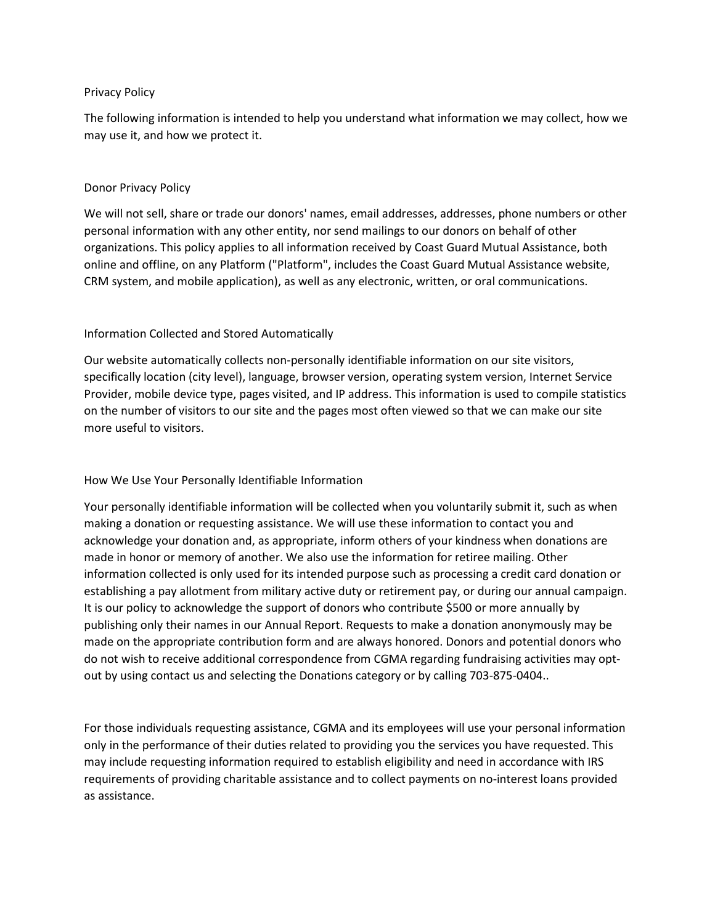#### Privacy Policy

The following information is intended to help you understand what information we may collect, how we may use it, and how we protect it.

#### Donor Privacy Policy

We will not sell, share or trade our donors' names, email addresses, addresses, phone numbers or other personal information with any other entity, nor send mailings to our donors on behalf of other organizations. This policy applies to all information received by Coast Guard Mutual Assistance, both online and offline, on any Platform ("Platform", includes the Coast Guard Mutual Assistance website, CRM system, and mobile application), as well as any electronic, written, or oral communications.

## Information Collected and Stored Automatically

Our website automatically collects non-personally identifiable information on our site visitors, specifically location (city level), language, browser version, operating system version, Internet Service Provider, mobile device type, pages visited, and IP address. This information is used to compile statistics on the number of visitors to our site and the pages most often viewed so that we can make our site more useful to visitors.

## How We Use Your Personally Identifiable Information

Your personally identifiable information will be collected when you voluntarily submit it, such as when making a donation or requesting assistance. We will use these information to contact you and acknowledge your donation and, as appropriate, inform others of your kindness when donations are made in honor or memory of another. We also use the information for retiree mailing. Other information collected is only used for its intended purpose such as processing a credit card donation or establishing a pay allotment from military active duty or retirement pay, or during our annual campaign. It is our policy to acknowledge the support of donors who contribute \$500 or more annually by publishing only their names in our Annual Report. Requests to make a donation anonymously may be made on the appropriate contribution form and are always honored. Donors and potential donors who do not wish to receive additional correspondence from CGMA regarding fundraising activities may optout by using contact us and selecting the Donations category or by calling 703-875-0404..

For those individuals requesting assistance, CGMA and its employees will use your personal information only in the performance of their duties related to providing you the services you have requested. This may include requesting information required to establish eligibility and need in accordance with IRS requirements of providing charitable assistance and to collect payments on no-interest loans provided as assistance.